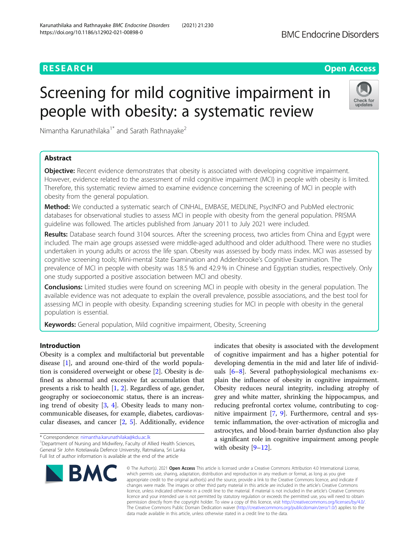# **RESEARCH CHINESE ARCH CHINESE ARCHITECT ARCHITECT ARCHITECT ARCHITECT ARCHITECT ARCHITECT ARCHITECT ARCHITECT ARCHITECT ARCHITECT ARCHITECT ARCHITECT ARCHITECT ARCHITECT ARCHITECT ARCHITECT ARCHITECT ARCHITECT ARCHITE**

# Screening for mild cognitive impairment in people with obesity: a systematic review



Nimantha Karunathilaka<sup>1\*</sup> and Sarath Rathnayake<sup>2</sup>

# Abstract

**Objective:** Recent evidence demonstrates that obesity is associated with developing cognitive impairment. However, evidence related to the assessment of mild cognitive impairment (MCI) in people with obesity is limited. Therefore, this systematic review aimed to examine evidence concerning the screening of MCI in people with obesity from the general population.

Method: We conducted a systematic search of CINHAL, EMBASE, MEDLINE, PsycINFO and PubMed electronic databases for observational studies to assess MCI in people with obesity from the general population. PRISMA guideline was followed. The articles published from January 2011 to July 2021 were included.

Results: Database search found 3104 sources. After the screening process, two articles from China and Egypt were included. The main age groups assessed were middle-aged adulthood and older adulthood. There were no studies undertaken in young adults or across the life span. Obesity was assessed by body mass index. MCI was assessed by cognitive screening tools; Mini-mental State Examination and Addenbrooke's Cognitive Examination. The prevalence of MCI in people with obesity was 18.5 % and 42.9 % in Chinese and Egyptian studies, respectively. Only one study supported a positive association between MCI and obesity.

**Conclusions:** Limited studies were found on screening MCI in people with obesity in the general population. The available evidence was not adequate to explain the overall prevalence, possible associations, and the best tool for assessing MCI in people with obesity. Expanding screening studies for MCI in people with obesity in the general population is essential.

Keywords: General population, Mild cognitive impairment, Obesity, Screening

# Introduction

Obesity is a complex and multifactorial but preventable disease [[1\]](#page-5-0), and around one-third of the world population is considered overweight or obese [[2\]](#page-5-0). Obesity is defined as abnormal and excessive fat accumulation that presents a risk to health [[1,](#page-5-0) [2\]](#page-5-0). Regardless of age, gender, geography or socioeconomic status, there is an increasing trend of obesity [\[3](#page-5-0), [4](#page-5-0)]. Obesity leads to many noncommunicable diseases, for example, diabetes, cardiovascular diseases, and cancer [\[2](#page-5-0), [5](#page-5-0)]. Additionally, evidence

\* Correspondence: [nimantha.karunathilaka@kdu.ac.lk](mailto:nimantha.karunathilaka@kdu.ac.lk) <sup>1</sup> <sup>1</sup>Department of Nursing and Midwifery, Faculty of Allied Health Sciences, General Sir John Kotelawala Defence University, Ratmalana, Sri Lanka Full list of author information is available at the end of the article



indicates that obesity is associated with the development of cognitive impairment and has a higher potential for developing dementia in the mid and later life of individuals [\[6](#page-5-0)–[8\]](#page-5-0). Several pathophysiological mechanisms explain the influence of obesity in cognitive impairment. Obesity reduces neural integrity, including atrophy of grey and white matter, shrinking the hippocampus, and reducing prefrontal cortex volume, contributing to cognitive impairment [[7,](#page-5-0) [9](#page-5-0)]. Furthermore, central and systemic inflammation, the over-activation of microglia and astrocytes, and blood-brain barrier dysfunction also play a significant role in cognitive impairment among people with obesity [\[9](#page-5-0)–[12\]](#page-5-0).

© The Author(s), 2021 **Open Access** This article is licensed under a Creative Commons Attribution 4.0 International License, which permits use, sharing, adaptation, distribution and reproduction in any medium or format, as long as you give appropriate credit to the original author(s) and the source, provide a link to the Creative Commons licence, and indicate if changes were made. The images or other third party material in this article are included in the article's Creative Commons licence, unless indicated otherwise in a credit line to the material. If material is not included in the article's Creative Commons licence and your intended use is not permitted by statutory regulation or exceeds the permitted use, you will need to obtain permission directly from the copyright holder. To view a copy of this licence, visit [http://creativecommons.org/licenses/by/4.0/.](http://creativecommons.org/licenses/by/4.0/) The Creative Commons Public Domain Dedication waiver [\(http://creativecommons.org/publicdomain/zero/1.0/](http://creativecommons.org/publicdomain/zero/1.0/)) applies to the data made available in this article, unless otherwise stated in a credit line to the data.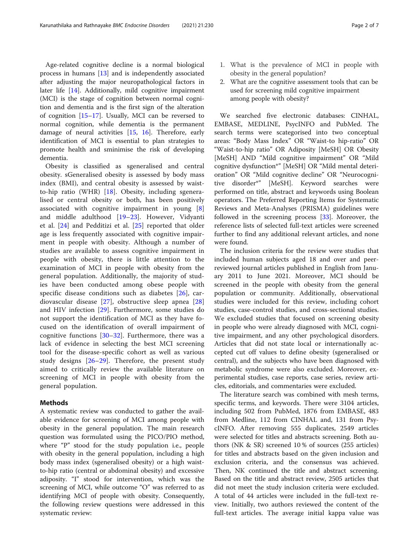Age-related cognitive decline is a normal biological process in humans [[13\]](#page-5-0) and is independently associated after adjusting the major neuropathological factors in later life [\[14](#page-5-0)]. Additionally, mild cognitive impairment (MCI) is the stage of cognition between normal cognition and dementia and is the first sign of the alteration of cognition [\[15](#page-5-0)–[17\]](#page-5-0). Usually, MCI can be reversed to normal cognition, while dementia is the permanent damage of neural activities [[15,](#page-5-0) [16\]](#page-5-0). Therefore, early identification of MCI is essential to plan strategies to promote health and sminimise the risk of developing dementia.

Obesity is classified as sgeneralised and central obesity. sGeneralised obesity is assessed by body mass index (BMI), and central obesity is assessed by waistto-hip ratio (WHR) [[18](#page-5-0)]. Obesity, including sgeneralised or central obesity or both, has been positively associated with cognitive impairment in young [\[8](#page-5-0)] and middle adulthood [\[19](#page-5-0)–[23](#page-5-0)]. However, Vidyanti et al. [\[24](#page-5-0)] and Pedditizi et al. [\[25](#page-5-0)] reported that older age is less frequently associated with cognitive impairment in people with obesity. Although a number of studies are available to assess cognitive impairment in people with obesity, there is little attention to the examination of MCI in people with obesity from the general population. Additionally, the majority of studies have been conducted among obese people with specific disease conditions such as diabetes [[26\]](#page-5-0), cardiovascular disease [\[27](#page-5-0)], obstructive sleep apnea [\[28](#page-5-0)] and HIV infection [\[29](#page-5-0)]. Furthermore, some studies do not support the identification of MCI as they have focused on the identification of overall impairment of cognitive functions [\[30](#page-5-0)–[32](#page-5-0)]. Furthermore, there was a lack of evidence in selecting the best MCI screening tool for the disease-specific cohort as well as various study designs [[26](#page-5-0)–[29](#page-5-0)]. Therefore, the present study aimed to critically review the available literature on screening of MCI in people with obesity from the general population.

# Methods

A systematic review was conducted to gather the available evidence for screening of MCI among people with obesity in the general population. The main research question was formulated using the PICO/PIO method, where "P" stood for the study population i.e., people with obesity in the general population, including a high body mass index (sgeneralised obesity) or a high waistto-hip ratio (central or abdominal obesity) and excessive adiposity. "I" stood for intervention, which was the screening of MCI, while outcome "O" was referred to as identifying MCI of people with obesity. Consequently, the following review questions were addressed in this systematic review:

- 1. What is the prevalence of MCI in people with obesity in the general population?
- 2. What are the cognitive assessment tools that can be used for screening mild cognitive impairment among people with obesity?

We searched five electronic databases: CINHAL, EMBASE, MEDLINE, PsycINFO and PubMed. The search terms were scategorised into two conceptual areas: "Body Mass Index" OR "Waist-to hip-ratio" OR "Waist-to-hip ratio" OR Adiposity [MeSH] OR Obesity [MeSH] AND "Mild cognitive impairment" OR "Mild cognitive dysfunction\*" [MeSH] OR "Mild mental deterioration" OR "Mild cognitive decline" OR "Neurocognitive disorder\*" [MeSH]. Keyword searches were performed on title, abstract and keywords using Boolean operators. The Preferred Reporting Items for Systematic Reviews and Meta-Analyses (PRISMA) guidelines were followed in the screening process [\[33](#page-5-0)]. Moreover, the reference lists of selected full-text articles were screened further to find any additional relevant articles, and none were found.

The inclusion criteria for the review were studies that included human subjects aged 18 and over and peerreviewed journal articles published in English from January 2011 to June 2021. Moreover, MCI should be screened in the people with obesity from the general population or community. Additionally, observational studies were included for this review, including cohort studies, case-control studies, and cross-sectional studies. We excluded studies that focused on screening obesity in people who were already diagnosed with MCI, cognitive impairment, and any other psychological disorders. Articles that did not state local or internationally accepted cut off values to define obesity (sgeneralised or central), and the subjects who have been diagnosed with metabolic syndrome were also excluded. Moreover, experimental studies, case reports, case series, review articles, editorials, and commentaries were excluded.

The literature search was combined with mesh terms, specific terms, and keywords. There were 3104 articles, including 502 from PubMed, 1876 from EMBASE, 483 from Medline, 112 from CINHAL and, 131 from PsycINFO. After removing 555 duplicates, 2549 articles were selected for titles and abstracts screening. Both authors (NK & SR) screened 10 % of sources (255 articles) for titles and abstracts based on the given inclusion and exclusion criteria, and the consensus was achieved. Then, NK continued the title and abstract screening. Based on the title and abstract review, 2505 articles that did not meet the study inclusion criteria were excluded. A total of 44 articles were included in the full-text review. Initially, two authors reviewed the content of the full-text articles. The average initial kappa value was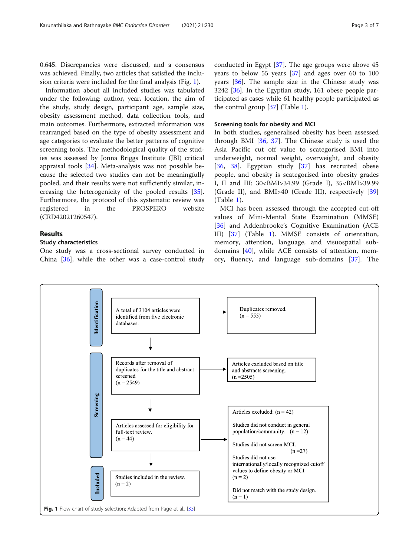0.645. Discrepancies were discussed, and a consensus was achieved. Finally, two articles that satisfied the inclusion criteria were included for the final analysis (Fig. 1).

Information about all included studies was tabulated under the following: author, year, location, the aim of the study, study design, participant age, sample size, obesity assessment method, data collection tools, and main outcomes. Furthermore, extracted information was rearranged based on the type of obesity assessment and age categories to evaluate the better patterns of cognitive screening tools. The methodological quality of the studies was assessed by Jonna Briggs Institute (JBI) critical appraisal tools [\[34](#page-5-0)]. Meta-analysis was not possible because the selected two studies can not be meaningfully pooled, and their results were not sufficiently similar, increasing the heterogenicity of the pooled results [\[35](#page-5-0)]. Furthermore, the protocol of this systematic review was registered in the PROSPERO website (CRD42021260547).

# Results

# Study characteristics

One study was a cross-sectional survey conducted in China [[36](#page-5-0)], while the other was a case-control study

conducted in Egypt [\[37\]](#page-5-0). The age groups were above 45 years to below 55 years [[37\]](#page-5-0) and ages over 60 to 100 years [[36](#page-5-0)]. The sample size in the Chinese study was 3242 [\[36](#page-5-0)]. In the Egyptian study, 161 obese people participated as cases while 61 healthy people participated as the control group [\[37\]](#page-5-0) (Table [1](#page-3-0)).

# Screening tools for obesity and MCI

In both studies, sgeneralised obesity has been assessed through BMI [[36,](#page-5-0) [37](#page-5-0)]. The Chinese study is used the Asia Pacific cut off value to scategorised BMI into underweight, normal weight, overweight, and obesity [[36,](#page-5-0) [38\]](#page-5-0). Egyptian study [[37\]](#page-5-0) has recruited obese people, and obesity is scategorised into obesity grades I, II and III: 30<BMI>34.99 (Grade I), 35<BMI>39.99 (Grade II), and BMI>40 (Grade III), respectively [\[39](#page-6-0)] (Table [1](#page-3-0)).

MCI has been assessed through the accepted cut-off values of Mini-Mental State Examination (MMSE) [[36\]](#page-5-0) and Addenbrooke's Cognitive Examination (ACE III) [\[37](#page-5-0)] (Table [1](#page-3-0)). MMSE consists of orientation, memory, attention, language, and visuospatial subdomains [[40\]](#page-6-0), while ACE consists of attention, memory, fluency, and language sub-domains [[37](#page-5-0)]. The

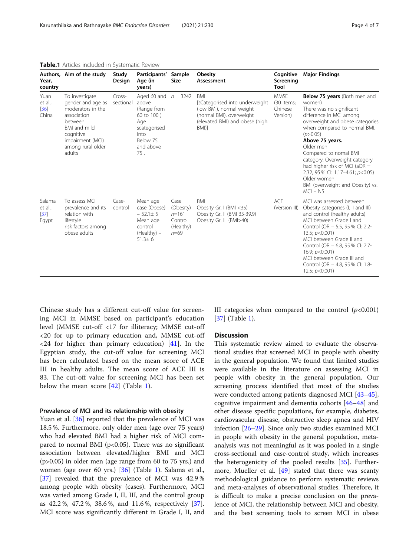| Year,<br>country                     | Authors, Aim of the study                                                                                                                                          | Study<br>Design     | Participants'<br>Age (in<br>years)                                                                                          | Sample<br>Size                                                     | Obesity<br>Assessment                                                                                                                           | Cognitive<br>Screening<br>Tool                   | <b>Major Findings</b>                                                                                                                                                                                                                                                                                                                                                                                           |
|--------------------------------------|--------------------------------------------------------------------------------------------------------------------------------------------------------------------|---------------------|-----------------------------------------------------------------------------------------------------------------------------|--------------------------------------------------------------------|-------------------------------------------------------------------------------------------------------------------------------------------------|--------------------------------------------------|-----------------------------------------------------------------------------------------------------------------------------------------------------------------------------------------------------------------------------------------------------------------------------------------------------------------------------------------------------------------------------------------------------------------|
| Yuan<br>et al.,<br>$[36]$<br>China   | To investigate<br>gender and age as<br>moderators in the<br>association<br>between<br>BMI and mild<br>cognitive<br>impairment (MCI)<br>among rural older<br>adults | Cross-<br>sectional | Aged 60 and $n = 3242$<br>above<br>(Range from<br>60 to 100)<br>Age<br>scategorised<br>into<br>Below 75<br>and above<br>75. |                                                                    | <b>BMI</b><br>[sCategorised into underweight<br>(low BMI), normal weight<br>(normal BMI), overweight<br>(elevated BMI) and obese (high<br>BMI)] | <b>MMSE</b><br>(30 Items;<br>Chinese<br>Version) | Below 75 years (Both men and<br>women)<br>There was no significant<br>difference in MCI among<br>overweight and obese categories<br>when compared to normal BMI.<br>(p>0.05)<br>Above 75 years.<br>Older men<br>Compared to nomal BMI<br>category, Overweight category<br>had higher risk of MCI (aOR $=$<br>2.32, 95 % CI: 1.17-4.61; p<0.05)<br>Older women<br>BMI (overweight and Obesity) vs.<br>$MCI - NS$ |
| Salama<br>et al.,<br>$[37]$<br>Egypt | To assess MCL<br>prevalence and its<br>relation with<br>lifestyle<br>risk factors among<br>obese adults                                                            | Case-<br>control    | Mean age<br>case (Obese)<br>$-52.1 \pm 5$<br>Mean age<br>control<br>(Healthy) -<br>$51.3 \pm 6$                             | Case<br>(Obesity)<br>$n = 161$<br>Control<br>(Healthy)<br>$n = 69$ | <b>BMI</b><br>Obesity Gr. I (BMI <35)<br>Obesity Gr. II (BMI 35-39.9)<br>Obesity Gr. III (BMI>40)                                               | <b>ACE</b><br>(Version III)                      | MCI was assessed between<br>Obesity categories (I, II and III)<br>and control (healthy adults)<br>MCI between Grade I and<br>Control (OR - 5.5, 95 % Cl: 2.2-<br>13.5; $p<0.001$ )<br>MCI between Grade II and<br>Control (OR - 6.8, 95 % CI: 2.7-<br>16.9; $p<0.001$ )<br>MCI between Grade III and<br>Control (OR - 4.8, 95 % Cl: 1.8-<br>12.5; $p<0.001$ )                                                   |

<span id="page-3-0"></span>Table.1 Articles included in Systematic Review

Chinese study has a different cut-off value for screening MCI in MMSE based on participant's education level (MMSE cut-off <17 for illiteracy; MMSE cut-off <20 for up to primary education and, MMSE cut-off  $\langle 24 \rangle$  for higher than primary education) [\[41](#page-6-0)]. In the Egyptian study, the cut-off value for screening MCI has been calculated based on the mean score of ACE III in healthy adults. The mean score of ACE III is 83. The cut-off value for screening MCI has been set below the mean score [[42\]](#page-6-0) (Table 1).

# Prevalence of MCI and its relationship with obesity

Yuan et al. [[36\]](#page-5-0) reported that the prevalence of MCI was 18.5 %. Furthermore, only older men (age over 75 years) who had elevated BMI had a higher risk of MCI compared to normal BMI ( $p$ <0.05). There was no significant association between elevated/higher BMI and MCI (p>0.05) in older men (age range from 60 to 75 yrs.) and women (age over 60 yrs.) [\[36](#page-5-0)] (Table 1). Salama et al., [[37\]](#page-5-0) revealed that the prevalence of MCI was 42.9% among people with obesity (cases). Furthermore, MCI was varied among Grade I, II, III, and the control group as 42.2 %, 47.2 %, 38.6 %, and 11.6 %, respectively [\[37](#page-5-0)]. MCI score was significantly different in Grade I, II, and III categories when compared to the control  $(p<0.001)$ [[37\]](#page-5-0) (Table 1).

# **Discussion**

This systematic review aimed to evaluate the observational studies that screened MCI in people with obesity in the general population. We found that limited studies were available in the literature on assessing MCI in people with obesity in the general population. Our screening process identified that most of the studies were conducted among patients diagnosed MCI [[43](#page-6-0)–[45](#page-6-0)], cognitive impairment and dementia cohorts [[46](#page-6-0)–[48](#page-6-0)] and other disease specific populations, for example, diabetes, cardiovascular disease, obstructive sleep apnea and HIV infection [\[26](#page-5-0)–[29\]](#page-5-0). Since only two studies examined MCI in people with obesity in the general population, metaanalysis was not meaningful as it was pooled in a single cross-sectional and case-control study, which increases the heterogenicity of the pooled results [\[35\]](#page-5-0). Furthermore, Mueller et al.  $[49]$  $[49]$  $[49]$  stated that there was scanty methodological guidance to perform systematic reviews and meta-analyses of observational studies. Therefore, it is difficult to make a precise conclusion on the prevalence of MCI, the relationship between MCI and obesity, and the best screening tools to screen MCI in obese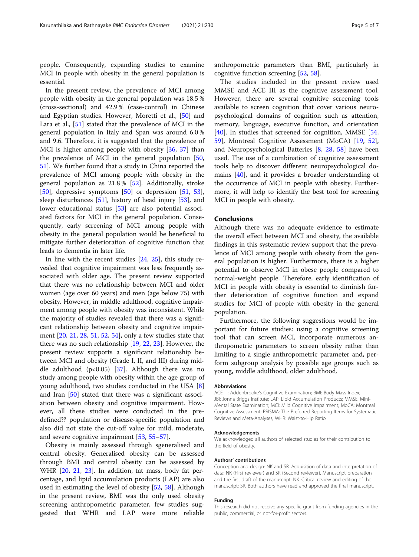people. Consequently, expanding studies to examine MCI in people with obesity in the general population is essential.

In the present review, the prevalence of MCI among people with obesity in the general population was 18.5 % (cross-sectional) and 42.9 % (case-control) in Chinese and Egyptian studies. However, Moretti et al., [\[50](#page-6-0)] and Lara et al., [[51](#page-6-0)] stated that the prevalence of MCI in the general population in Italy and Span was around 6.0 % and 9.6. Therefore, it is suggested that the prevalence of MCI is higher among people with obesity [[36](#page-5-0), [37](#page-5-0)] than the prevalence of MCI in the general population [[50](#page-6-0), [51\]](#page-6-0). We further found that a study in China reported the prevalence of MCI among people with obesity in the general population as 21.8 % [[52\]](#page-6-0). Additionally, stroke [[50\]](#page-6-0), depressive symptoms [\[50\]](#page-6-0) or depression [[51,](#page-6-0) [53](#page-6-0)], sleep disturbances [\[51](#page-6-0)], history of head injury [\[53](#page-6-0)], and lower educational status [[53\]](#page-6-0) are also potential associated factors for MCI in the general population. Consequently, early screening of MCI among people with obesity in the general population would be beneficial to mitigate further deterioration of cognitive function that leads to dementia in later life.

In line with the recent studies [\[24](#page-5-0), [25](#page-5-0)], this study revealed that cognitive impairment was less frequently associated with older age. The present review supported that there was no relationship between MCI and older women (age over 60 years) and men (age below 75) with obesity. However, in middle adulthood, cognitive impairment among people with obesity was inconsistent. While the majority of studies revealed that there was a significant relationship between obesity and cognitive impairment [[20,](#page-5-0) [21,](#page-5-0) [28,](#page-5-0) [51,](#page-6-0) [52](#page-6-0), [54](#page-6-0)], only a few studies state that there was no such relationship [\[19,](#page-5-0) [22,](#page-5-0) [23\]](#page-5-0). However, the present review supports a significant relationship between MCI and obesity (Grade I, II, and III) during middle adulthood  $(p<0.05)$  [[37\]](#page-5-0). Although there was no study among people with obesity within the age group of young adulthood, two studies conducted in the USA [\[8](#page-5-0)] and Iran [[50](#page-6-0)] stated that there was a significant association between obesity and cognitive impairment. However, all these studies were conducted in the predefined?? population or disease-specific population and also did not state the cut-off value for mild, moderate, and severe cognitive impairment [\[53](#page-6-0), [55](#page-6-0)–[57\]](#page-6-0).

Obesity is mainly assessed through sgeneralised and central obesity. Generalised obesity can be assessed through BMI and central obesity can be assessed by WHR [[20,](#page-5-0) [21,](#page-5-0) [23](#page-5-0)]. In addition, fat mass, body fat percentage, and lipid accumulation products (LAP) are also used in estimating the level of obesity [[52,](#page-6-0) [58\]](#page-6-0). Although in the present review, BMI was the only used obesity screening anthropometric parameter, few studies suggested that WHR and LAP were more reliable anthropometric parameters than BMI, particularly in cognitive function screening [[52](#page-6-0), [58](#page-6-0)].

The studies included in the present review used MMSE and ACE III as the cognitive assessment tool. However, there are several cognitive screening tools available to screen cognition that cover various neuropsychological domains of cognition such as attention, memory, language, executive function, and orientation [[40\]](#page-6-0). In studies that screened for cognition, MMSE [[54](#page-6-0), [59\]](#page-6-0), Montreal Cognitive Assessment (MoCA) [\[19](#page-5-0), [52](#page-6-0)], and Neuropsychological Batteries [[8](#page-5-0), [28,](#page-5-0) [58\]](#page-6-0) have been used. The use of a combination of cognitive assessment tools help to discover different neuropsychological domains [\[40](#page-6-0)], and it provides a broader understanding of the occurrence of MCI in people with obesity. Furthermore, it will help to identify the best tool for screening MCI in people with obesity.

# Conclusions

Although there was no adequate evidence to estimate the overall effect between MCI and obesity, the available findings in this systematic review support that the prevalence of MCI among people with obesity from the general population is higher. Furthermore, there is a higher potential to observe MCI in obese people compared to normal-weight people. Therefore, early identification of MCI in people with obesity is essential to diminish further deterioration of cognitive function and expand studies for MCI of people with obesity in the general population.

Furthermore, the following suggestions would be important for future studies: using a cognitive screening tool that can screen MCI, incorporate numerous anthropometric parameters to screen obesity rather than limiting to a single anthropometric parameter and, perform subgroup analysis by possible age groups such as young, middle adulthood, older adulthood.

#### **Abbreviations**

ACE III: Addenbrooke's Cognitive Examination; BMI: Body Mass Index; JBI: Jonna Briggs Institute; LAP: Lipid Accumulation Products; MMSE: Mini-Mental State Examination; MCI: Mild Cognitive Impairment; MoCA: Montreal Cognitive Assessment; PRISMA: The Preferred Reporting Items for Systematic Reviews and Meta-Analyses; WHR: Waist-to-Hip Ratio

#### Acknowledgements

We acknowledged all authors of selected studies for their contribution to the field of obesity.

#### Authors' contributions

Conception and design: NK and SR. Acquisition of data and interpretation of data: NK (First reviewer) and SR (Second reviewer). Manuscript preparation and the first draft of the manuscript: NK. Critical review and editing of the manuscript: SR. Both authors have read and approved the final manuscript.

#### Funding

This research did not receive any specific grant from funding agencies in the public, commercial, or not-for-profit sectors.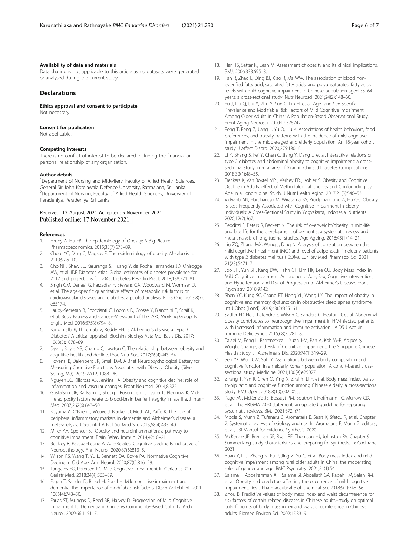### <span id="page-5-0"></span>Availability of data and materials

Data sharing is not applicable to this article as no datasets were generated or analysed during the current study.

# Declarations

Ethics approval and consent to participate Not necessary.

#### Consent for publication

Not applicable.

#### Competing interests

There is no conflict of interest to be declared including the financial or personal relationship of any organisation.

#### Author details

<sup>1</sup>Department of Nursing and Midwifery, Faculty of Allied Health Sciences, General Sir John Kotelawala Defence University, Ratmalana, Sri Lanka. <sup>2</sup> Department of Nursing, Faculty of Allied Health Sciences, University of Peradeniya, Peradeniya, Sri Lanka.

### Received: 12 August 2021 Accepted: 5 November 2021 Published online: 17 November 2021

#### References

- 1. Hruby A, Hu FB. The Epidemiology of Obesity: A Big Picture. Pharmacoeconomics. 2015;33(7):673–89.
- 2. Chooi YC, Ding C, Magkos F. The epidemiology of obesity. Metabolism. 2019;92:6–10.
- 3. Cho NH, Shaw JE, Karuranga S, Huang Y, da Rocha Fernandes JD, Ohlrogge AW, et al. IDF Diabetes Atlas: Global estimates of diabetes prevalence for 2017 and projections for 2045. Diabetes Res Clin Pract. 2018;138:271–81.
- 4. Singh GM, Danaei G, Farzadfar F, Stevens GA, Woodward M, Wormser D, et al. The age-specific quantitative effects of metabolic risk factors on cardiovascular diseases and diabetes: a pooled analysis. PLoS One. 2013;8(7): e65174.
- 5. Lauby-Secretan B, Scoccianti C, Loomis D, Grosse Y, Bianchini F, Straif K, et al. Body Fatness and Cancer--Viewpoint of the IARC Working Group. N Engl J Med. 2016;375(8):794–8.
- 6. Kandimalla R, Thirumala V, Reddy PH. Is Alzheimer's disease a Type 3 Diabetes? A critical appraisal. Biochim Biophys Acta Mol Basis Dis. 2017; 1863(5):1078–89.
- 7. Dye L, Boyle NB, Champ C, Lawton C. The relationship between obesity and cognitive health and decline. Proc Nutr Soc. 2017;76(4):443–54.
- 8. Hovens IB, Dalenberg JR, Small DM. A Brief Neuropsychological Battery for Measuring Cognitive Functions Associated with Obesity. Obesity (Silver Spring, Md). 2019;27(12):1988–96.
- 9. Nguyen JC, Killcross AS, Jenkins TA. Obesity and cognitive decline: role of inflammation and vascular changes. Front Neurosci. 2014;8:375.
- 10. Gustafson DR, Karlsson C, Skoog I, Rosengren L, Lissner L, Blennow K. Midlife adiposity factors relate to blood-brain barrier integrity in late life. J Intern Med. 2007;262(6):643–50.
- 11. Koyama A, O'Brien J, Weuve J, Blacker D, Metti AL, Yaffe K. The role of peripheral inflammatory markers in dementia and Alzheimer's disease: a meta-analysis. J Gerontol A Biol Sci Med Sci. 2013;68(4):433–40.
- 12. Miller AA, Spencer SJ. Obesity and neuroinflammation: a pathway to cognitive impairment. Brain Behav Immun. 2014;42:10–21.
- 13. Buckley R, Pascual-Leone A. Age-Related Cognitive Decline Is Indicative of Neuropathology. Ann Neurol. 2020;87(6):813–5.
- 14. Wilson RS, Wang T, Yu L, Bennett DA, Boyle PA. Normative Cognitive Decline in Old Age. Ann Neurol. 2020;87(6):816–29.
- 15. Tangalos EG, Petersen RC. Mild Cognitive Impairment in Geriatrics. Clin Geriatr Med. 2018;34(4):563–89.
- 16. Etgen T, Sander D, Bickel H, Forstl H. Mild cognitive impairment and dementia: the importance of modifiable risk factors. Dtsch Arztebl Int. 2011; 108(44):743–50.
- 17. Farias ST, Mungas D, Reed BR, Harvey D. Progression of Mild Cognitive Impairment to Dementia in Clinic- vs Community-Based Cohorts. Arch Neurol. 2009;66:1151–7.
- 18. Han TS, Sattar N, Lean M. Assessment of obesity and its clinical implications. BMJ. 2006;333:695–8.
- 19. Fan R, Zhao L, Ding BJ, Xiao R, Ma WW. The association of blood nonesterified fatty acid, saturated fatty acids, and polyunsaturated fatty acids levels with mild cognitive impairment in Chinese population aged 35–64 years: a cross-sectional study. Nutr Neurosci. 2021;24(2):148–60.
- 20. Fu J, Liu Q, Du Y, Zhu Y, Sun C, Lin H, et al. Age- and Sex-Specific Prevalence and Modifiable Risk Factors of Mild Cognitive Impairment Among Older Adults in China: A Population-Based Observational Study. Front Aging Neurosci. 2020;12:578742.
- 21. Feng T, Feng Z, Jiang L, Yu Q, Liu K. Associations of health behaviors, food preferences, and obesity patterns with the incidence of mild cognitive impairment in the middle-aged and elderly population: An 18-year cohort study. J Affect Disord. 2020;275:180–6.
- 22. Li Y, Shang S, Fei Y, Chen C, Jiang Y, Dang L, et al. Interactive relations of type 2 diabetes and abdominal obesity to cognitive impairment: a crosssectional study in rural area of Xi'an in China. J Diabetes Complications. 2018;32(1):48–55.
- 23. Deckers K, Van Boxtel MPJ, Verhey FRJ, Köhler S. Obesity and Cognitive Decline in Adults: effect of Methodological Choices and Confounding by Age in a Longitudinal Study. J Nutr Health Aging. 2017;21(5):546–53.
- 24. Vidyanti AN, Hardhantyo M, Wiratama BS, Prodjohardjono A, Hu C-J. Obesity Is Less Frequently Associated with Cognitive Impairment in Elderly Individuals: A Cross-Sectional Study in Yogyakarta, Indonesia. Nutrients. 2020;12(2):367.
- 25. Pedditzi E, Peters R, Beckett N. The risk of overweight/obesity in mid-life and late life for the development of dementia: a systematic review and meta-analysis of longitudinal studies. Age Ageing. 2016;45(1):14–21.
- 26. Liu ZQ, Zhang MX, Wang J, Ding N. Analysis of correlation between the mild cognitive impairment (MCI) and level of adiponectin in elderly patients with type 2 diabetes mellitus (T2DM). Eur Rev Med Pharmacol Sci. 2021; 21(23):5471–7.
- 27. Joo SH, Yun SH, Kang DW, Hahn CT, Lim HK, Lee CU. Body Mass Index in Mild Cognitive Impairment According to Age, Sex, Cognitive Intervention, and Hypertension and Risk of Progression to Alzheimer's Disease. Front Psychiatry. 2018;9:142.
- 28. Shen YC, Kung SC, Chang ET, Hong YL, Wang LY. The impact of obesity in cognitive and memory dysfunction in obstructive sleep apnea syndrome. Int J Obes (Lond). 2019;43(2):355–61.
- 29. Sattler FR, He J, Letendre S, Wilson C, Sanders C, Heaton R, et al. Abdominal obesity contributes to neurocognitive impairment in HIV-infected patients with increased inflammation and immune activation. JAIDS J Acquir Immune Defic Syndr. 2015;68(3):281–8.
- 30. Talaei M, Feng L, Barrenetxea J, Yuan J-M, Pan A, Koh W-P, Adiposity. Weight Change, and Risk of Cognitive Impairment: The Singapore Chinese Health Study. J Alzheimer's Dis. 2020;74(1):319–29.
- 31. Seo YK, Won CW, Soh Y. Associations between body composition and cognitive function in an elderly Korean population: A cohort-based crosssectional study. Medicine. 2021;100(9):e25027.
- 32. Zhang T, Yan R, Chen Q, Ying X, Zhai Y, Li F, et al. Body mass index, waistto-hip ratio and cognitive function among Chinese elderly: a cross-sectional study. BMJ Open. 2018;8(10):e022055.
- 33. Page MJ, McKenzie JE, Bossuyt PM, Boutron I, Hoffmann TC, Mulrow CD, et al. The PRISMA 2020 statement: an updated guideline for reporting systematic reviews. BMJ. 2021;372:n71.
- 34. Moola S, Munn Z, Tufanaru C, Aromataris E, Sears K, Sfetcu R, et al. Chapter 7: Systematic reviews of etiology and risk. In: Aromataris E, Munn Z, editors., et al., JBI Manual for Evidence Synthesis. 2020.
- 35. McKenzie JE, Brennan SE, Ryan RE, Thomson HJ, Johnston RV. Chapter 9: Summarizing study characteristics and preparing for synthesis. In: Cochrane. 2021.
- 36. Yuan Y, Li J, Zhang N, Fu P, Jing Z, Yu C, et al. Body mass index and mild cognitive impairment among rural older adults in China: the moderating roles of gender and age. BMC Psychiatry. 2021;21(1):54.
- 37. Salama II, Abdelrahman AH, Salama SI, Abdellatif GA, Rabah TM, Saleh RM, et al. Obesity and predictors affecting the occurrence of mild cognitive impairment. Res J Pharmaceutical Biol Chemical Sci. 2018;9(1):748–56.
- 38. Zhou B. Predictive values of body mass index and waist circumference for risk factors of certain related diseases in Chinese adults--study on optimal cut-off points of body mass index and waist circumference in Chinese adults. Biomed Environ Sci. 2002;15:83–9.